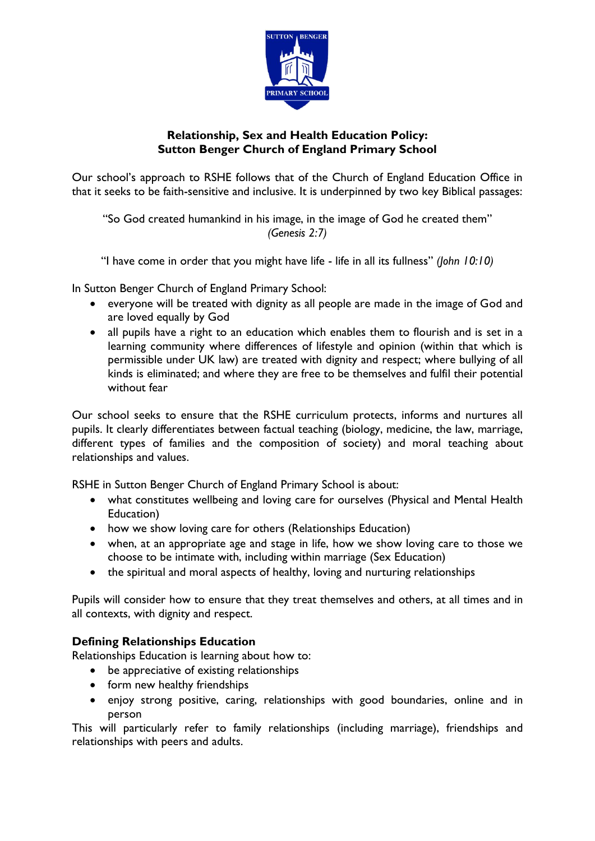

# **Relationship, Sex and Health Education Policy: Sutton Benger Church of England Primary School**

Our school's approach to RSHE follows that of the Church of England Education Office in that it seeks to be faith-sensitive and inclusive. It is underpinned by two key Biblical passages:

"So God created humankind in his image, in the image of God he created them" *(Genesis 2:7)*

"I have come in order that you might have life - life in all its fullness" *(John 10:10)*

In Sutton Benger Church of England Primary School:

- everyone will be treated with dignity as all people are made in the image of God and are loved equally by God
- all pupils have a right to an education which enables them to flourish and is set in a learning community where differences of lifestyle and opinion (within that which is permissible under UK law) are treated with dignity and respect; where bullying of all kinds is eliminated; and where they are free to be themselves and fulfil their potential without fear

Our school seeks to ensure that the RSHE curriculum protects, informs and nurtures all pupils. It clearly differentiates between factual teaching (biology, medicine, the law, marriage, different types of families and the composition of society) and moral teaching about relationships and values.

RSHE in Sutton Benger Church of England Primary School is about:

- what constitutes wellbeing and loving care for ourselves (Physical and Mental Health Education)
- how we show loving care for others (Relationships Education)
- when, at an appropriate age and stage in life, how we show loving care to those we choose to be intimate with, including within marriage (Sex Education)
- the spiritual and moral aspects of healthy, loving and nurturing relationships

Pupils will consider how to ensure that they treat themselves and others, at all times and in all contexts, with dignity and respect.

# **Defining Relationships Education**

Relationships Education is learning about how to:

- be appreciative of existing relationships
- form new healthy friendships
- enjoy strong positive, caring, relationships with good boundaries, online and in person

This will particularly refer to family relationships (including marriage), friendships and relationships with peers and adults.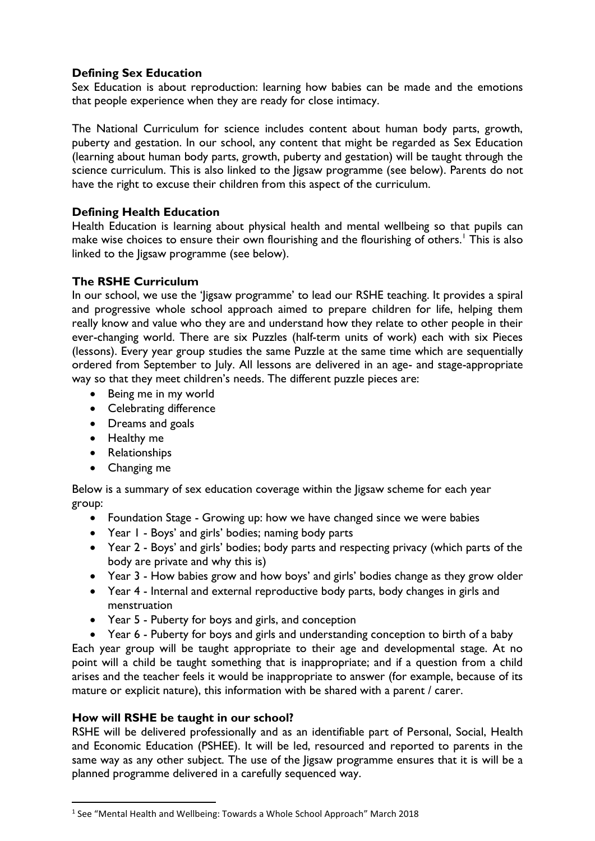# **Defining Sex Education**

Sex Education is about reproduction: learning how babies can be made and the emotions that people experience when they are ready for close intimacy.

The National Curriculum for science includes content about human body parts, growth, puberty and gestation. In our school, any content that might be regarded as Sex Education (learning about human body parts, growth, puberty and gestation) will be taught through the science curriculum. This is also linked to the ligsaw programme (see below). Parents do not have the right to excuse their children from this aspect of the curriculum.

### **Defining Health Education**

Health Education is learning about physical health and mental wellbeing so that pupils can make wise choices to ensure their own flourishing and the flourishing of others.<sup>1</sup> This is also linked to the Jigsaw programme (see below).

### **The RSHE Curriculum**

In our school, we use the 'Jigsaw programme' to lead our RSHE teaching. It provides a spiral and progressive whole school approach aimed to prepare children for life, helping them really know and value who they are and understand how they relate to other people in their ever-changing world. There are six Puzzles (half-term units of work) each with six Pieces (lessons). Every year group studies the same Puzzle at the same time which are sequentially ordered from September to July. All lessons are delivered in an age- and stage-appropriate way so that they meet children's needs. The different puzzle pieces are:

- Being me in my world
- Celebrating difference
- Dreams and goals
- Healthy me
- Relationships
- Changing me

Below is a summary of sex education coverage within the Jigsaw scheme for each year group:

- Foundation Stage Growing up: how we have changed since we were babies
- Year 1 Boys' and girls' bodies; naming body parts
- Year 2 Boys' and girls' bodies; body parts and respecting privacy (which parts of the body are private and why this is)
- Year 3 How babies grow and how boys' and girls' bodies change as they grow older
- Year 4 Internal and external reproductive body parts, body changes in girls and menstruation
- Year 5 Puberty for boys and girls, and conception

• Year 6 - Puberty for boys and girls and understanding conception to birth of a baby Each year group will be taught appropriate to their age and developmental stage. At no point will a child be taught something that is inappropriate; and if a question from a child arises and the teacher feels it would be inappropriate to answer (for example, because of its mature or explicit nature), this information with be shared with a parent / carer.

#### **How will RSHE be taught in our school?**

RSHE will be delivered professionally and as an identifiable part of Personal, Social, Health and Economic Education (PSHEE). It will be led, resourced and reported to parents in the same way as any other subject. The use of the Jigsaw programme ensures that it is will be a planned programme delivered in a carefully sequenced way.

<sup>&</sup>lt;sup>1</sup> See "Mental Health and Wellbeing: Towards a Whole School Approach" March 2018